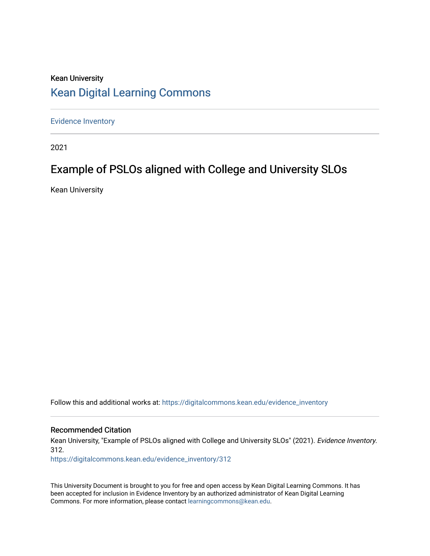### Kean University [Kean Digital Learning Commons](https://digitalcommons.kean.edu/)

[Evidence Inventory](https://digitalcommons.kean.edu/evidence_inventory) 

2021

## Example of PSLOs aligned with College and University SLOs

Kean University

Follow this and additional works at: [https://digitalcommons.kean.edu/evidence\\_inventory](https://digitalcommons.kean.edu/evidence_inventory?utm_source=digitalcommons.kean.edu%2Fevidence_inventory%2F312&utm_medium=PDF&utm_campaign=PDFCoverPages)

#### Recommended Citation

Kean University, "Example of PSLOs aligned with College and University SLOs" (2021). Evidence Inventory. 312.

[https://digitalcommons.kean.edu/evidence\\_inventory/312](https://digitalcommons.kean.edu/evidence_inventory/312?utm_source=digitalcommons.kean.edu%2Fevidence_inventory%2F312&utm_medium=PDF&utm_campaign=PDFCoverPages)

This University Document is brought to you for free and open access by Kean Digital Learning Commons. It has been accepted for inclusion in Evidence Inventory by an authorized administrator of Kean Digital Learning Commons. For more information, please contact [learningcommons@kean.edu.](mailto:learningcommons@kean.edu)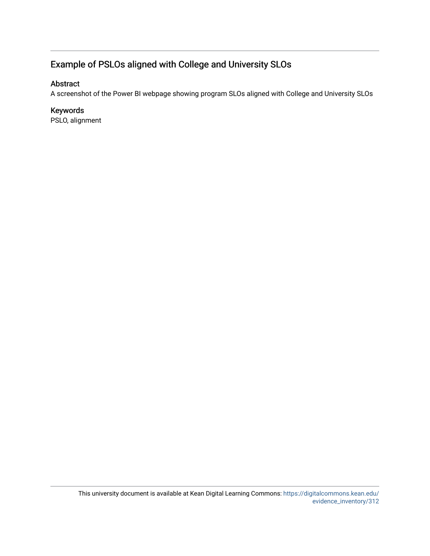### Example of PSLOs aligned with College and University SLOs

#### Abstract

A screenshot of the Power BI webpage showing program SLOs aligned with College and University SLOs

### Keywords

PSLO, alignment